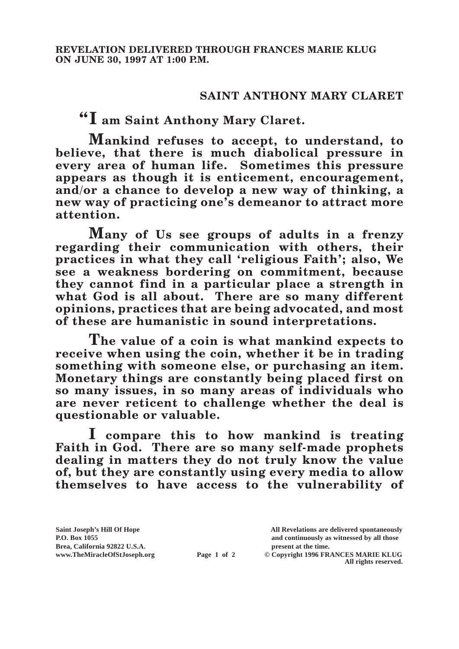## **SAINT ANTHONY MARY CLARET**

**"I am Saint Anthony Mary Claret.**

**Mankind refuses to accept, to understand, to believe, that there is much diabolical pressure in every area of human life. Sometimes this pressure appears as though it is enticement, encouragement, and/or a chance to develop a new way of thinking, a new way of practicing one's demeanor to attract more attention.**

**Many of Us see groups of adults in a frenzy regarding their communication with others, their practices in what they call 'religious Faith'; also, We see a weakness bordering on commitment, because they cannot find in a particular place a strength in what God is all about. There are so many different opinions, practices that are being advocated, and most of these are humanistic in sound interpretations.**

**The value of a coin is what mankind expects to receive when using the coin, whether it be in trading something with someone else, or purchasing an item. Monetary things are constantly being placed first on so many issues, in so many areas of individuals who are never reticent to challenge whether the deal is questionable or valuable.**

**I compare this to how mankind is treating Faith in God. There are so many self-made prophets dealing in matters they do not truly know the value of, but they are constantly using every media to allow themselves to have access to the vulnerability of** 

**Page 1 of 2** © Copyright 1996 FRANCES MARIE KLUG

**All rights reserved.**